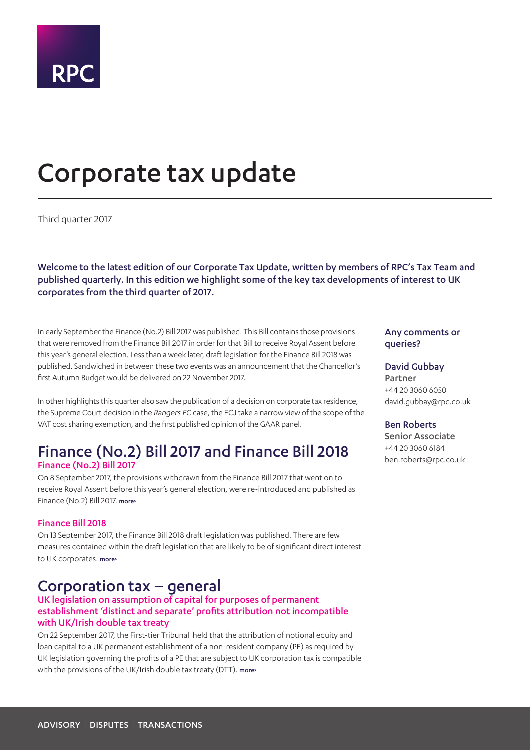

# <span id="page-0-0"></span>Corporate tax update

Third quarter 2017

Welcome to the latest edition of our Corporate Tax Update, written by members of RPC's Tax Team and published quarterly. In this edition we highlight some of the key tax developments of interest to UK corporates from the third quarter of 2017.

In early September the Finance (No.2) Bill 2017 was published. This Bill contains those provisions that were removed from the Finance Bill 2017 in order for that Bill to receive Royal Assent before this year's general election. Less than a week later, draft legislation for the Finance Bill 2018 was published. Sandwiched in between these two events was an announcement that the Chancellor's first Autumn Budget would be delivered on 22 November 2017.

In other highlights this quarter also saw the publication of a decision on corporate tax residence, the Supreme Court decision in the *Rangers FC* case, the ECJ take a narrow view of the scope of the VAT cost sharing exemption, and the first published opinion of the GAAR panel.

### Finance (No.2) Bill 2017 and Finance Bill 2018 Finance (No.2) Bill 2017

On 8 September 2017, the provisions withdrawn from the Finance Bill 2017 that went on to receive Royal Assent before this year's general election, were re-introduced and published as Finance (No.2) Bill 2017. [more>](#page-3-0)

#### Finance Bill 2018

On 13 September 2017, the Finance Bill 2018 draft legislation was published. There are few measures contained within the draft legislation that are likely to be of significant direct interest to UK corporates. [more>](#page-3-1)

### Corporation tax – general

#### UK legislation on assumption of capital for purposes of permanent establishment 'distinct and separate' profits attribution not incompatible with UK/Irish double tax treaty

On 22 September 2017, the First-tier Tribunal held that the attribution of notional equity and loan capital to a UK permanent establishment of a non-resident company (PE) as required by UK legislation governing the profits of a PE that are subject to UK corporation tax is compatible with the provisions of the UK/Irish double tax treaty (DTT), more-

#### Any comments or queries?

#### David Gubbay

Partner +44 20 3060 6050 david.gubbay@rpc.co.uk

#### Ben Roberts

Senior Associate +44 20 3060 6184 ben.roberts@rpc.co.uk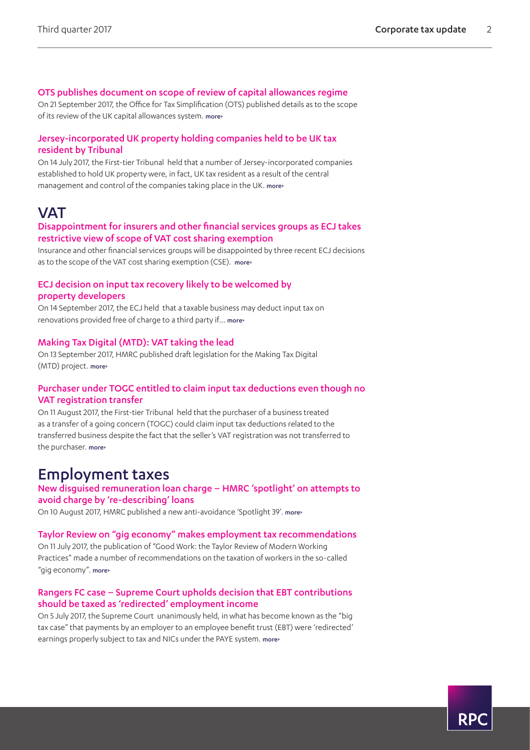#### OTS publishes document on scope of review of capital allowances regime

On 21 September 2017, the Office for Tax Simplification (OTS) published details as to the scope of its review of the UK capital allowances system. [more>](#page-4-0)

#### Jersey-incorporated UK property holding companies held to be UK tax resident by Tribunal

On 14 July 2017, the First-tier Tribunal held that a number of Jersey-incorporated companies established to hold UK property were, in fact, UK tax resident as a result of the central management and control of the companies taking place in the UK. [more>](#page-5-0)

### **VAT**

#### Disappointment for insurers and other financial services groups as ECJ takes restrictive view of scope of VAT cost sharing exemption

Insurance and other financial services groups will be disappointed by three recent ECJ decisions as to the scope of the VAT cost sharing exemption (CSE). [more>](#page-6-0)

#### ECJ decision on input tax recovery likely to be welcomed by property developers

On 14 September 2017, the ECJ held that a taxable business may deduct input tax on renovations provided free of charge to a third party if... more>

#### Making Tax Digital (MTD): VAT taking the lead

On 13 September 2017, HMRC published draft legislation for the Making Tax Digital (MTD) project. [more>](#page-7-0)

#### Purchaser under TOGC entitled to claim input tax deductions even though no VAT registration transfer

On 11 August 2017, the First-tier Tribunal held that the purchaser of a business treated as a transfer of a going concern (TOGC) could claim input tax deductions related to the transferred business despite the fact that the seller's VAT registration was not transferred to the purchaser. [more>](#page-8-0)

### Employment taxes

#### New disguised remuneration loan charge – HMRC 'spotlight' on attempts to avoid charge by 're-describing' loans

On 10 August 2017, HMRC published a new anti-avoidance 'Spotlight 39'. more>

#### Taylor Review on "gig economy" makes employment tax recommendations

On 11 July 2017, the publication of "Good Work: the Taylor Review of Modern Working Practices" made a number of recommendations on the taxation of workers in the so-called "gig economy". more>

#### Rangers FC case – Supreme Court upholds decision that EBT contributions should be taxed as 'redirected' employment income

On 5 July 2017, the Supreme Court unanimously held, in what has become known as the "big tax case" that payments by an employer to an employee benefit trust (EBT) were 'redirected' earnings properly subject to tax and NICs under the PAYE system. more>

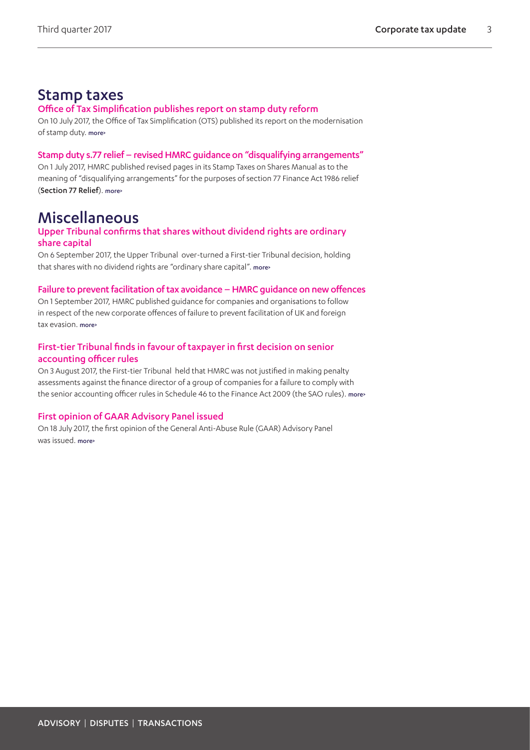### Stamp taxes

#### Office of Tax Simplification publishes report on stamp duty reform

On 10 July 2017, the Office of Tax Simplification (OTS) published its report on the modernisation of stamp duty. [more>](#page-11-0)

#### Stamp duty s.77 relief – revised HMRC guidance on "disqualifying arrangements"

On 1 July 2017, HMRC published revised pages in its Stamp Taxes on Shares Manual as to the meaning of "disqualifying arrangements" for the purposes of section 77 Finance Act 1986 relief (Section 77 Relief). more>

### Miscellaneous

#### Upper Tribunal confirms that shares without dividend rights are ordinary share capital

On 6 September 2017, the Upper Tribunal over-turned a First-tier Tribunal decision, holding that shares with no dividend rights are "ordinary share capital". [more>](#page-13-0)

#### Failure to prevent facilitation of tax avoidance – HMRC guidance on new offences

On 1 September 2017, HMRC published guidance for companies and organisations to follow in respect of the new corporate offences of failure to prevent facilitation of UK and foreign tax evasion. more>

#### First-tier Tribunal finds in favour of taxpayer in first decision on senior accounting officer rules

On 3 August 2017, the First-tier Tribunal held that HMRC was not justified in making penalty assessments against the finance director of a group of companies for a failure to comply with the senior accounting officer rules in Schedule 46 to the Finance Act 2009 (the SAO rules). [more>](#page-13-1)

#### First opinion of GAAR Advisory Panel issued

On 18 July 2017, the first opinion of the General Anti-Abuse Rule (GAAR) Advisory Panel was issued. more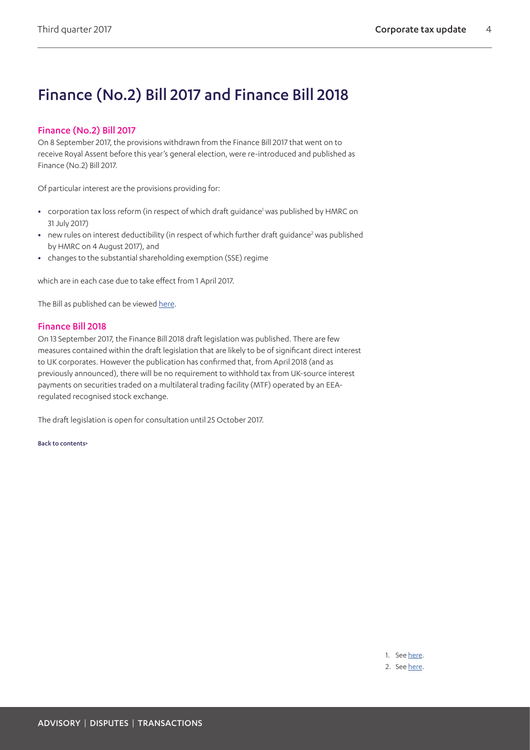# Finance (No.2) Bill 2017 and Finance Bill 2018

#### <span id="page-3-0"></span>Finance (No.2) Bill 2017

On 8 September 2017, the provisions withdrawn from the Finance Bill 2017 that went on to receive Royal Assent before this year's general election, were re-introduced and published as Finance (No.2) Bill 2017.

Of particular interest are the provisions providing for:

- corporation tax loss reform (in respect of which draft guidance<sup>1</sup> was published by HMRC on 31 July 2017)
- new rules on interest deductibility (in respect of which further draft guidance<sup>[2](#page-3-3)</sup> was published by HMRC on 4 August 2017), and
- **•** changes to the substantial shareholding exemption (SSE) regime

which are in each case due to take effect from 1 April 2017.

The Bill as published can be viewed [here](https://publications.parliament.uk/pa/bills/cbill/2017-2019/0102/18102.pdf).

#### <span id="page-3-1"></span>Finance Bill 2018

On 13 September 2017, the Finance Bill 2018 draft legislation was published. There are few measures contained within the draft legislation that are likely to be of significant direct interest to UK corporates. However the publication has confirmed that, from April 2018 (and as previously announced), there will be no requirement to withhold tax from UK-source interest payments on securities traded on a multilateral trading facility (MTF) operated by an EEAregulated recognised stock exchange.

The draft legislation is open for consultation until 25 October 2017.

[Back to contents>](#page-0-0)

<span id="page-3-2"></span>1. See [here.](https://www.gov.uk/government/publications/reform-to-corporation-tax-loss-relief-draft-guidance)

<span id="page-3-3"></span>2. See [here.](https://www.gov.uk/government/publications/corporate-interest-restriction-draft-guidance)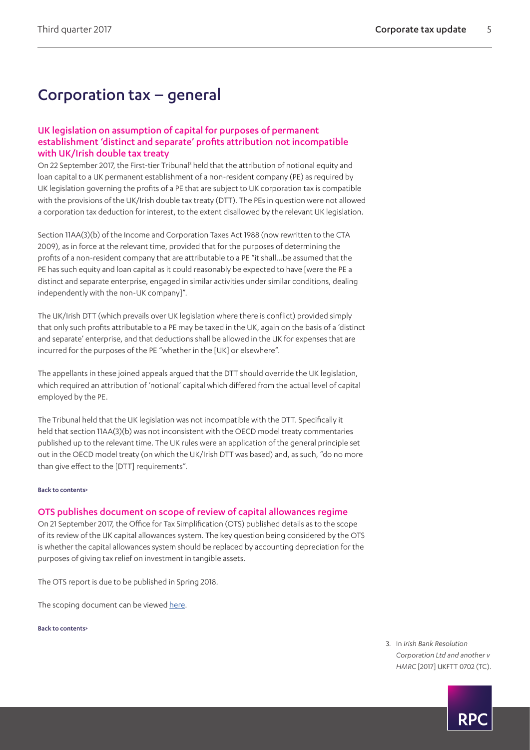# Corporation tax – general

#### UK legislation on assumption of capital for purposes of permanent establishment 'distinct and separate' profits attribution not incompatible with UK/Irish double tax treaty

On 22 September 2017, the First-tier Tribunal<sup>[3](#page-4-1)</sup> held that the attribution of notional equity and loan capital to a UK permanent establishment of a non-resident company (PE) as required by UK legislation governing the profits of a PE that are subject to UK corporation tax is compatible with the provisions of the UK/Irish double tax treaty (DTT). The PEs in question were not allowed a corporation tax deduction for interest, to the extent disallowed by the relevant UK legislation.

Section 11AA(3)(b) of the Income and Corporation Taxes Act 1988 (now rewritten to the CTA 2009), as in force at the relevant time, provided that for the purposes of determining the profits of a non-resident company that are attributable to a PE "it shall…be assumed that the PE has such equity and loan capital as it could reasonably be expected to have [were the PE a distinct and separate enterprise, engaged in similar activities under similar conditions, dealing independently with the non-UK company]".

The UK/Irish DTT (which prevails over UK legislation where there is conflict) provided simply that only such profits attributable to a PE may be taxed in the UK, again on the basis of a 'distinct and separate' enterprise, and that deductions shall be allowed in the UK for expenses that are incurred for the purposes of the PE "whether in the [UK] or elsewhere".

The appellants in these joined appeals argued that the DTT should override the UK legislation, which required an attribution of 'notional' capital which differed from the actual level of capital employed by the PE.

The Tribunal held that the UK legislation was not incompatible with the DTT. Specifically it held that section 11AA(3)(b) was not inconsistent with the OECD model treaty commentaries published up to the relevant time. The UK rules were an application of the general principle set out in the OECD model treaty (on which the UK/Irish DTT was based) and, as such, "do no more than give effect to the [DTT] requirements".

#### [Back to contents>](#page-0-0)

#### <span id="page-4-0"></span>OTS publishes document on scope of review of capital allowances regime

On 21 September 2017, the Office for Tax Simplification (OTS) published details as to the scope of its review of the UK capital allowances system. The key question being considered by the OTS is whether the capital allowances system should be replaced by accounting depreciation for the purposes of giving tax relief on investment in tangible assets.

The OTS report is due to be published in Spring 2018.

The scoping document can be viewed [here.](https://www.gov.uk/government/publications/ots-starts-new-review-on-capital-allowances-and-depreciation)

[Back to contents>](#page-0-0)

<span id="page-4-1"></span>3. In *Irish Bank Resolution Corporation Ltd and another v HMRC* [2017] UKFTT 0702 (TC).

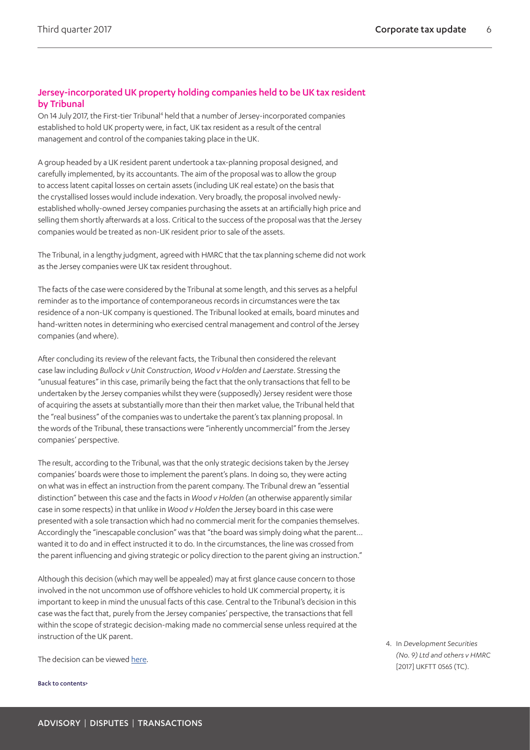#### <span id="page-5-0"></span>Jersey-incorporated UK property holding companies held to be UK tax resident by Tribunal

On 14 July 2017, the First-tier Tribunal<sup>4</sup> held that a number of Jersey-incorporated companies established to hold UK property were, in fact, UK tax resident as a result of the central management and control of the companies taking place in the UK.

A group headed by a UK resident parent undertook a tax-planning proposal designed, and carefully implemented, by its accountants. The aim of the proposal was to allow the group to access latent capital losses on certain assets (including UK real estate) on the basis that the crystallised losses would include indexation. Very broadly, the proposal involved newlyestablished wholly-owned Jersey companies purchasing the assets at an artificially high price and selling them shortly afterwards at a loss. Critical to the success of the proposal was that the Jersey companies would be treated as non-UK resident prior to sale of the assets.

The Tribunal, in a lengthy judgment, agreed with HMRC that the tax planning scheme did not work as the Jersey companies were UK tax resident throughout.

The facts of the case were considered by the Tribunal at some length, and this serves as a helpful reminder as to the importance of contemporaneous records in circumstances were the tax residence of a non-UK company is questioned. The Tribunal looked at emails, board minutes and hand-written notes in determining who exercised central management and control of the Jersey companies (and where).

After concluding its review of the relevant facts, the Tribunal then considered the relevant case law including *Bullock v Unit Construction*, *Wood v Holden and Laerstate*. Stressing the "unusual features" in this case, primarily being the fact that the only transactions that fell to be undertaken by the Jersey companies whilst they were (supposedly) Jersey resident were those of acquiring the assets at substantially more than their then market value, the Tribunal held that the "real business" of the companies was to undertake the parent's tax planning proposal. In the words of the Tribunal, these transactions were "inherently uncommercial" from the Jersey companies' perspective.

The result, according to the Tribunal, was that the only strategic decisions taken by the Jersey companies' boards were those to implement the parent's plans. In doing so, they were acting on what was in effect an instruction from the parent company. The Tribunal drew an "essential distinction" between this case and the facts in *Wood v Holden* (an otherwise apparently similar case in some respects) in that unlike in *Wood v Holden* the Jersey board in this case were presented with a sole transaction which had no commercial merit for the companies themselves. Accordingly the "inescapable conclusion" was that "the board was simply doing what the parent… wanted it to do and in effect instructed it to do. In the circumstances, the line was crossed from the parent influencing and giving strategic or policy direction to the parent giving an instruction."

Although this decision (which may well be appealed) may at first glance cause concern to those involved in the not uncommon use of offshore vehicles to hold UK commercial property, it is important to keep in mind the unusual facts of this case. Central to the Tribunal's decision in this case was the fact that, purely from the Jersey companies' perspective, the transactions that fell within the scope of strategic decision-making made no commercial sense unless required at the instruction of the UK parent.

The decision can be viewed [here.](http://www.bailii.org/uk/cases/UKFTT/TC/2017/TC06007.html)

[Back to contents>](#page-0-0)

<span id="page-5-1"></span>4. In *Development Securities (No. 9) Ltd and others v HMRC* [2017] UKFTT 0565 (TC).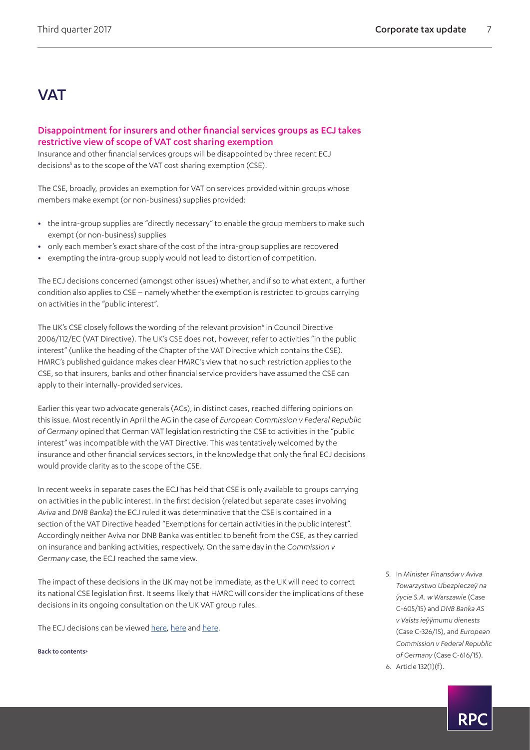## **VAT**

#### <span id="page-6-0"></span>Disappointment for insurers and other financial services groups as ECJ takes restrictive view of scope of VAT cost sharing exemption

Insurance and other financial services groups will be disappointed by three recent ECJ decisions<sup>[5](#page-6-1)</sup> as to the scope of the VAT cost sharing exemption (CSE).

The CSE, broadly, provides an exemption for VAT on services provided within groups whose members make exempt (or non-business) supplies provided:

- **•** the intra-group supplies are "directly necessary" to enable the group members to make such exempt (or non-business) supplies
- **•** only each member's exact share of the cost of the intra-group supplies are recovered
- **•** exempting the intra-group supply would not lead to distortion of competition.

The ECJ decisions concerned (amongst other issues) whether, and if so to what extent, a further condition also applies to CSE – namely whether the exemption is restricted to groups carrying on activities in the "public interest".

The UK's CSE closely follows the wording of the relevant provision<sup>6</sup> in Council Directive 2006/112/EC (VAT Directive). The UK's CSE does not, however, refer to activities "in the public interest" (unlike the heading of the Chapter of the VAT Directive which contains the CSE). HMRC's published guidance makes clear HMRC's view that no such restriction applies to the CSE, so that insurers, banks and other financial service providers have assumed the CSE can apply to their internally-provided services.

Earlier this year two advocate generals (AGs), in distinct cases, reached differing opinions on this issue. Most recently in April the AG in the case of *European Commission v Federal Republic of Germany* opined that German VAT legislation restricting the CSE to activities in the "public interest" was incompatible with the VAT Directive. This was tentatively welcomed by the insurance and other financial services sectors, in the knowledge that only the final ECJ decisions would provide clarity as to the scope of the CSE.

In recent weeks in separate cases the ECJ has held that CSE is only available to groups carrying on activities in the public interest. In the first decision (related but separate cases involving *Aviva* and *DNB Banka*) the ECJ ruled it was determinative that the CSE is contained in a section of the VAT Directive headed "Exemptions for certain activities in the public interest". Accordingly neither Aviva nor DNB Banka was entitled to benefit from the CSE, as they carried on insurance and banking activities, respectively. On the same day in the *Commission v Germany* case, the ECJ reached the same view.

The impact of these decisions in the UK may not be immediate, as the UK will need to correct its national CSE legislation first. It seems likely that HMRC will consider the implications of these decisions in its ongoing consultation on the UK VAT group rules.

The ECJ decisions can be viewed [here](http://www.bailii.org/eu/cases/EUECJ/2017/C60515.html), [here](http://www.bailii.org/eu/cases/EUECJ/2017/C32615.html) and [here](http://www.bailii.org/eu/cases/EUECJ/2017/C61615.html).

[Back to contents>](#page-0-0)

<span id="page-6-1"></span>5. In *Minister Finansów v Aviva Towarzystwo Ubezpieczeÿ na ÿycie S.A. w Warszawie* (Case C-605/15) and *DNB Banka AS v Valsts ieÿÿmumu dienests* (Case C-326/15), and *European Commission v Federal Republic of Germany* (Case C-616/15). 6. Article 132(1)(f).

<span id="page-6-2"></span>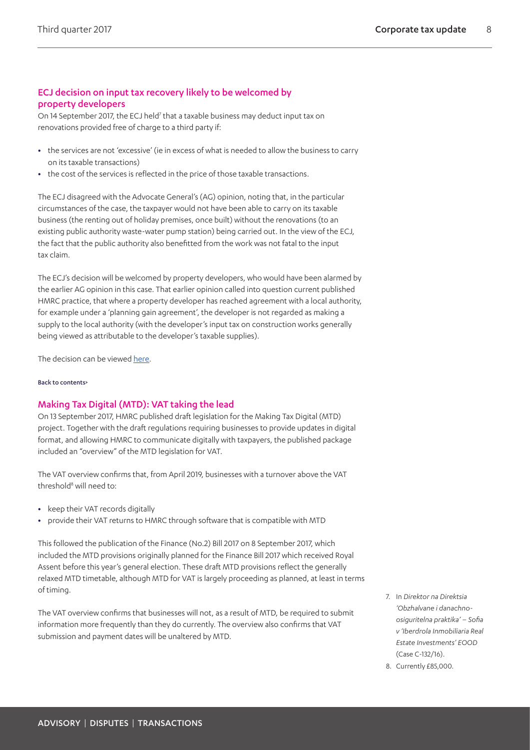#### ECJ decision on input tax recovery likely to be welcomed by property developers

On 14 September 201[7](#page-7-1), the ECJ held<sup>7</sup> that a taxable business may deduct input tax on renovations provided free of charge to a third party if:

- **•** the services are not 'excessive' (ie in excess of what is needed to allow the business to carry on its taxable transactions)
- **•** the cost of the services is reflected in the price of those taxable transactions.

The ECJ disagreed with the Advocate General's (AG) opinion, noting that, in the particular circumstances of the case, the taxpayer would not have been able to carry on its taxable business (the renting out of holiday premises, once built) without the renovations (to an existing public authority waste-water pump station) being carried out. In the view of the ECJ, the fact that the public authority also benefitted from the work was not fatal to the input tax claim.

The ECJ's decision will be welcomed by property developers, who would have been alarmed by the earlier AG opinion in this case. That earlier opinion called into question current published HMRC practice, that where a property developer has reached agreement with a local authority, for example under a 'planning gain agreement', the developer is not regarded as making a supply to the local authority (with the developer's input tax on construction works generally being viewed as attributable to the developer's taxable supplies).

The decision can be viewed [here.](http://www.bailii.org/eu/cases/EUECJ/2017/C13216.html)

#### [Back to contents>](#page-0-0)

#### <span id="page-7-0"></span>Making Tax Digital (MTD): VAT taking the lead

On 13 September 2017, HMRC published draft legislation for the Making Tax Digital (MTD) project. Together with the draft regulations requiring businesses to provide updates in digital format, and allowing HMRC to communicate digitally with taxpayers, the published package included an "overview" of the MTD legislation for VAT.

The VAT overview confirms that, from April 2019, businesses with a turnover above the VAT threshold<sup>[8](#page-7-2)</sup> will need to:

- **•** keep their VAT records digitally
- **•** provide their VAT returns to HMRC through software that is compatible with MTD

This followed the publication of the Finance (No.2) Bill 2017 on 8 September 2017, which included the MTD provisions originally planned for the Finance Bill 2017 which received Royal Assent before this year's general election. These draft MTD provisions reflect the generally relaxed MTD timetable, although MTD for VAT is largely proceeding as planned, at least in terms of timing.

The VAT overview confirms that businesses will not, as a result of MTD, be required to submit information more frequently than they do currently. The overview also confirms that VAT submission and payment dates will be unaltered by MTD.

- <span id="page-7-1"></span>7. In *Direktor na Direktsia 'Obzhalvane i danachnoosiguritelna praktika' – Sofia v 'Iberdrola Inmobiliaria Real Estate Investments' EOOD* (Case C-132/16).
- <span id="page-7-2"></span>8. Currently £85,000.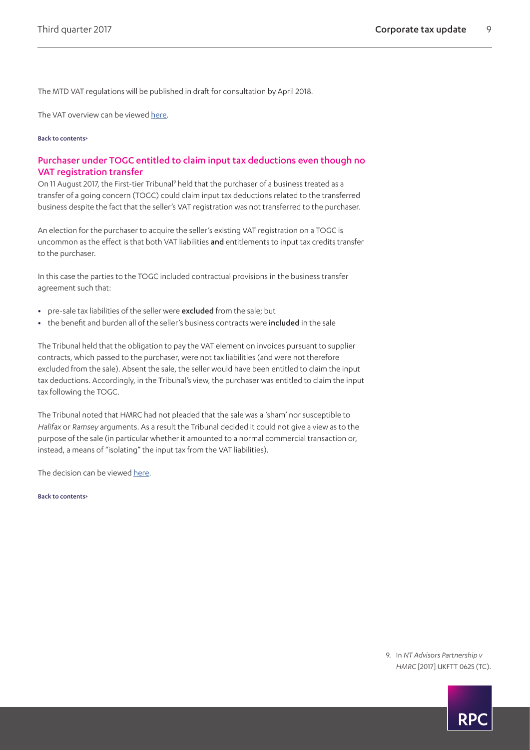The MTD VAT regulations will be published in draft for consultation by April 2018.

The VAT overview can be viewed [here](https://www.gov.uk/government/consultations/making-tax-digital-reforms-affecting-businesses/making-tax-digital-for-vat-legislation-overview).

#### [Back to contents>](#page-0-0)

#### <span id="page-8-0"></span>Purchaser under TOGC entitled to claim input tax deductions even though no VAT registration transfer

On 11 August 2017, the First-tier Tribunal<sup>[9](#page-8-1)</sup> held that the purchaser of a business treated as a transfer of a going concern (TOGC) could claim input tax deductions related to the transferred business despite the fact that the seller's VAT registration was not transferred to the purchaser.

An election for the purchaser to acquire the seller's existing VAT registration on a TOGC is uncommon as the effect is that both VAT liabilities and entitlements to input tax credits transfer to the purchaser.

In this case the parties to the TOGC included contractual provisions in the business transfer agreement such that:

- **•** pre-sale tax liabilities of the seller were excluded from the sale; but
- **•** the benefit and burden all of the seller's business contracts were included in the sale

The Tribunal held that the obligation to pay the VAT element on invoices pursuant to supplier contracts, which passed to the purchaser, were not tax liabilities (and were not therefore excluded from the sale). Absent the sale, the seller would have been entitled to claim the input tax deductions. Accordingly, in the Tribunal's view, the purchaser was entitled to claim the input tax following the TOGC.

The Tribunal noted that HMRC had not pleaded that the sale was a 'sham' nor susceptible to *Halifax* or *Ramsey* arguments. As a result the Tribunal decided it could not give a view as to the purpose of the sale (in particular whether it amounted to a normal commercial transaction or, instead, a means of "isolating" the input tax from the VAT liabilities).

The decision can be viewed [here.](http://www.bailii.org/uk/cases/UKFTT/TC/2017/TC06061.html)

[Back to contents>](#page-0-0)

<span id="page-8-1"></span>9. In *NT Advisors Partnership v HMRC* [2017] UKFTT 0625 (TC).

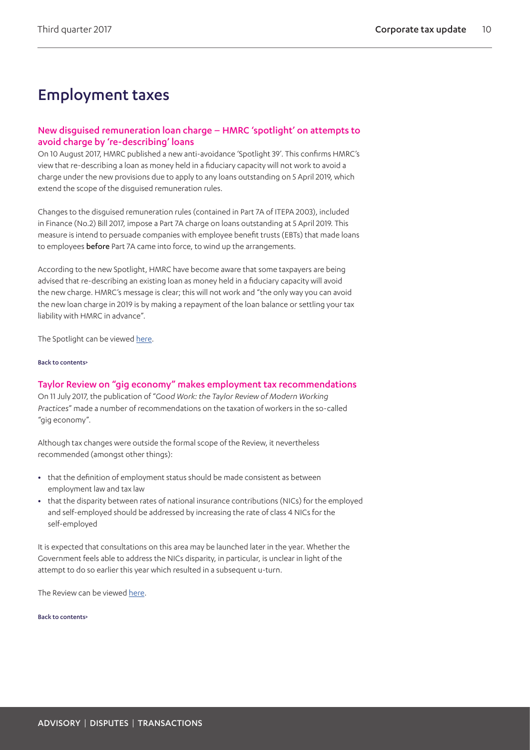# Employment taxes

#### New disguised remuneration loan charge – HMRC 'spotlight' on attempts to avoid charge by 're-describing' loans

On 10 August 2017, HMRC published a new anti-avoidance 'Spotlight 39'. This confirms HMRC's view that re-describing a loan as money held in a fiduciary capacity will not work to avoid a charge under the new provisions due to apply to any loans outstanding on 5 April 2019, which extend the scope of the disguised remuneration rules.

Changes to the disguised remuneration rules (contained in Part 7A of ITEPA 2003), included in Finance (No.2) Bill 2017, impose a Part 7A charge on loans outstanding at 5 April 2019. This measure is intend to persuade companies with employee benefit trusts (EBTs) that made loans to employees before Part 7A came into force, to wind up the arrangements.

According to the new Spotlight, HMRC have become aware that some taxpayers are being advised that re-describing an existing loan as money held in a fiduciary capacity will avoid the new charge. HMRC's message is clear; this will not work and "the only way you can avoid the new loan charge in 2019 is by making a repayment of the loan balance or settling your tax liability with HMRC in advance".

The Spotlight can be viewed [here.](https://www.gov.uk/guidance/disguised-remuneration-re-describing-loans-spotlight-39)

#### [Back to contents>](#page-0-0)

#### Taylor Review on "gig economy" makes employment tax recommendations

On 11 July 2017, the publication of "*Good Work: the Taylor Review of Modern Working Practices*" made a number of recommendations on the taxation of workers in the so-called "gig economy".

Although tax changes were outside the formal scope of the Review, it nevertheless recommended (amongst other things):

- **•** that the definition of employment status should be made consistent as between employment law and tax law
- **•** that the disparity between rates of national insurance contributions (NICs) for the employed and self-employed should be addressed by increasing the rate of class 4 NICs for the self-employed

It is expected that consultations on this area may be launched later in the year. Whether the Government feels able to address the NICs disparity, in particular, is unclear in light of the attempt to do so earlier this year which resulted in a subsequent u-turn.

The Review can be viewed [here](https://www.gov.uk/government/publications/good-work-the-taylor-review-of-modern-working-practices).

[Back to contents>](#page-0-0)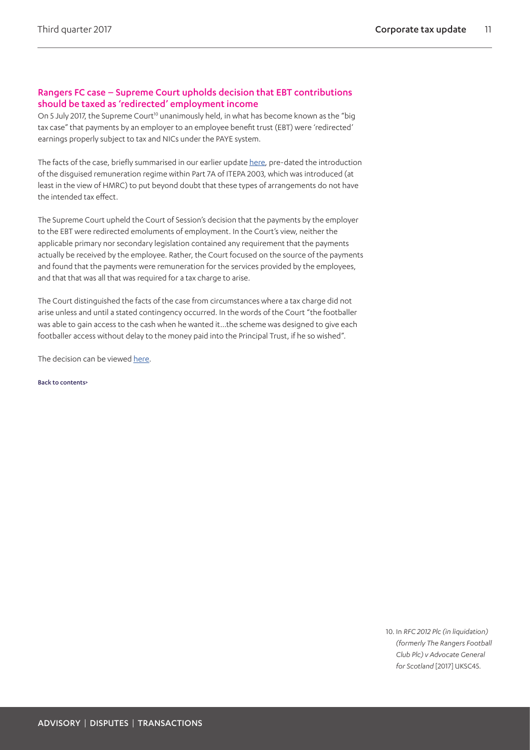#### Rangers FC case – Supreme Court upholds decision that EBT contributions should be taxed as 'redirected' employment income

On 5 July 2017, the Supreme Court<sup>10</sup> unanimously held, in what has become known as the "big tax case" that payments by an employer to an employee benefit trust (EBT) were 'redirected' earnings properly subject to tax and NICs under the PAYE system.

The facts of the case, briefly summarised in our earlier update [here,](https://www.rpc.co.uk/perspectives/tax-take/corporate-tax-update-final-quarter-2015) pre-dated the introduction of the disguised remuneration regime within Part 7A of ITEPA 2003, which was introduced (at least in the view of HMRC) to put beyond doubt that these types of arrangements do not have the intended tax effect.

The Supreme Court upheld the Court of Session's decision that the payments by the employer to the EBT were redirected emoluments of employment. In the Court's view, neither the applicable primary nor secondary legislation contained any requirement that the payments actually be received by the employee. Rather, the Court focused on the source of the payments and found that the payments were remuneration for the services provided by the employees, and that that was all that was required for a tax charge to arise.

The Court distinguished the facts of the case from circumstances where a tax charge did not arise unless and until a stated contingency occurred. In the words of the Court "the footballer was able to gain access to the cash when he wanted it…the scheme was designed to give each footballer access without delay to the money paid into the Principal Trust, if he so wished".

The decision can be viewed [here.](http://www.bailii.org/uk/cases/UKSC/2017/45.html)

[Back to contents>](#page-0-0)

<span id="page-10-0"></span>10. In *RFC 2012 Plc (in liquidation) (formerly The Rangers Football Club Plc) v Advocate General for Scotland* [2017] UKSC45.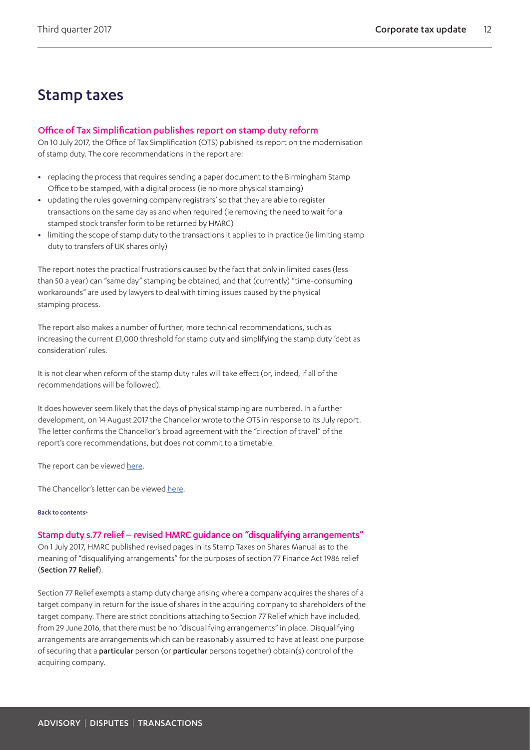## Stamp taxes

#### <span id="page-11-0"></span>Office of Tax Simplification publishes report on stamp duty reform

On 10 July 2017, the Office of Tax Simplification (OTS) published its report on the modernisation of stamp duty. The core recommendations in the report are:

- **•** replacing the process that requires sending a paper document to the Birmingham Stamp Office to be stamped, with a digital process (ie no more physical stamping)
- **•** updating the rules governing company registrars' so that they are able to register transactions on the same day as and when required (ie removing the need to wait for a stamped stock transfer form to be returned by HMRC)
- **•** limiting the scope of stamp duty to the transactions it applies to in practice (ie limiting stamp duty to transfers of UK shares only)

The report notes the practical frustrations caused by the fact that only in limited cases (less than 50 a year) can "same day" stamping be obtained, and that (currently) "time-consuming workarounds" are used by lawyers to deal with timing issues caused by the physical stamping process.

The report also makes a number of further, more technical recommendations, such as increasing the current £1,000 threshold for stamp duty and simplifying the stamp duty 'debt as consideration' rules.

It is not clear when reform of the stamp duty rules will take effect (or, indeed, if all of the recommendations will be followed).

It does however seem likely that the days of physical stamping are numbered. In a further development, on 14 August 2017 the Chancellor wrote to the OTS in response to its July report. The letter confirms the Chancellor's broad agreement with the "direction of travel" of the report's core recommendations, but does not commit to a timetable.

The report can be viewed [here](https://www.gov.uk/government/publications/ots-publishes-its-report-on-paper-stamp-duty).

The Chancellor's letter can be viewed [here.](https://www.gov.uk/government/uploads/system/uploads/attachment_data/file/640614/CX_letter_stamp_duty_August_2017.pdf)

#### [Back to contents>](#page-0-0)

#### Stamp duty s.77 relief – revised HMRC guidance on "disqualifying arrangements"

On 1 July 2017, HMRC published revised pages in its Stamp Taxes on Shares Manual as to the meaning of "disqualifying arrangements" for the purposes of section 77 Finance Act 1986 relief (Section 77 Relief).

Section 77 Relief exempts a stamp duty charge arising where a company acquires the shares of a target company in return for the issue of shares in the acquiring company to shareholders of the target company. There are strict conditions attaching to Section 77 Relief which have included, from 29 June 2016, that there must be no "disqualifying arrangements" in place. Disqualifying arrangements are arrangements which can be reasonably assumed to have at least one purpose of securing that a particular person (or particular persons together) obtain(s) control of the acquiring company.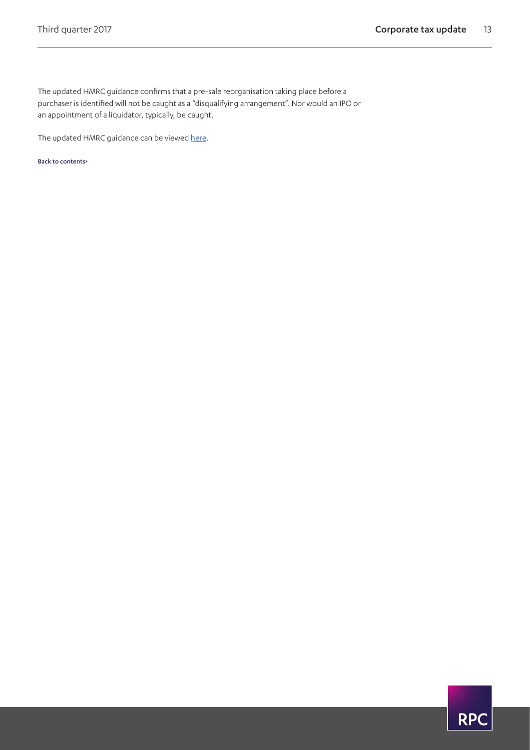The updated HMRC guidance confirms that a pre-sale reorganisation taking place before a purchaser is identified will not be caught as a "disqualifying arrangement". Nor would an IPO or an appointment of a liquidator, typically, be caught.

The updated HMRC guidance can be viewed [here.](https://www.gov.uk/hmrc-internal-manuals/stamp-taxes-shares-manual/stsm042460)

[Back to contents>](#page-0-0)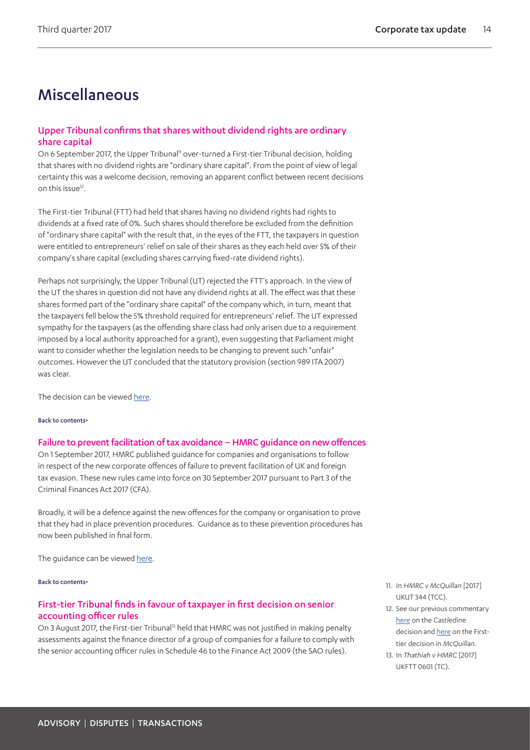# Miscellaneous

#### <span id="page-13-0"></span>Upper Tribunal confirms that shares without dividend rights are ordinary share capital

On 6 September 2017, the Upper Tribunal<sup>11</sup> over-turned a First-tier Tribunal decision, holding that shares with no dividend rights are "ordinary share capital". From the point of view of legal certainty this was a welcome decision, removing an apparent conflict between recent decisions on this issue<sup>[12](#page-13-3)</sup>.

The First-tier Tribunal (FTT) had held that shares having no dividend rights had rights to dividends at a fixed rate of 0%. Such shares should therefore be excluded from the definition of "ordinary share capital" with the result that, in the eyes of the FTT, the taxpayers in question were entitled to entrepreneurs' relief on sale of their shares as they each held over 5% of their company's share capital (excluding shares carrying fixed-rate dividend rights).

Perhaps not surprisingly, the Upper Tribunal (UT) rejected the FTT's approach. In the view of the UT the shares in question did not have any dividend rights at all. The effect was that these shares formed part of the "ordinary share capital" of the company which, in turn, meant that the taxpayers fell below the 5% threshold required for entrepreneurs' relief. The UT expressed sympathy for the taxpayers (as the offending share class had only arisen due to a requirement imposed by a local authority approached for a grant), even suggesting that Parliament might want to consider whether the legislation needs to be changing to prevent such "unfair" outcomes. However the UT concluded that the statutory provision (section 989 ITA 2007) was clear.

The decision can be viewed [here.](https://assets.publishing.service.gov.uk/media/59b0088f40f0b6173e8d2d83/HMRC_v_McQuillan.pdf)

#### [Back to contents>](#page-0-0)

#### Failure to prevent facilitation of tax avoidance – HMRC guidance on new offences

On 1 September 2017, HMRC published guidance for companies and organisations to follow in respect of the new corporate offences of failure to prevent facilitation of UK and foreign tax evasion. These new rules came into force on 30 September 2017 pursuant to Part 3 of the Criminal Finances Act 2017 (CFA).

Broadly, it will be a defence against the new offences for the company or organisation to prove that they had in place prevention procedures. Guidance as to these prevention procedures has now been published in final form.

The guidance can be viewed [here](https://www.gov.uk/government/uploads/system/uploads/attachment_data/file/642714/Tackling-tax-evasion-corporate-offences.pdf).

#### [Back to contents>](#page-0-0)

#### <span id="page-13-1"></span>First-tier Tribunal finds in favour of taxpayer in first decision on senior accounting officer rules

On 3 August 2017, the First-tier Tribunal<sup>13</sup> held that HMRC was not justified in making penalty assessments against the finance director of a group of companies for a failure to comply with the senior accounting officer rules in Schedule 46 to the Finance Act 2009 (the SAO rules).

- <span id="page-13-2"></span>11. In *HMRC v McQuillan* [2017] UKUT 344 (TCC).
- <span id="page-13-3"></span>12. See our previous commentary [here](https://www.rpc.co.uk/perspectives/tax-take/corporate-tax-update-first-quarter-2016) on the *Castledine* decision and [here](https://www.rpc.co.uk/perspectives/tax-take/corporate-tax-update-second-quarter-2016) on the Firsttier decision in *McQuillan*.
- <span id="page-13-4"></span>13. In *Thathiah v HMRC* [2017] UKFTT 0601 (TC).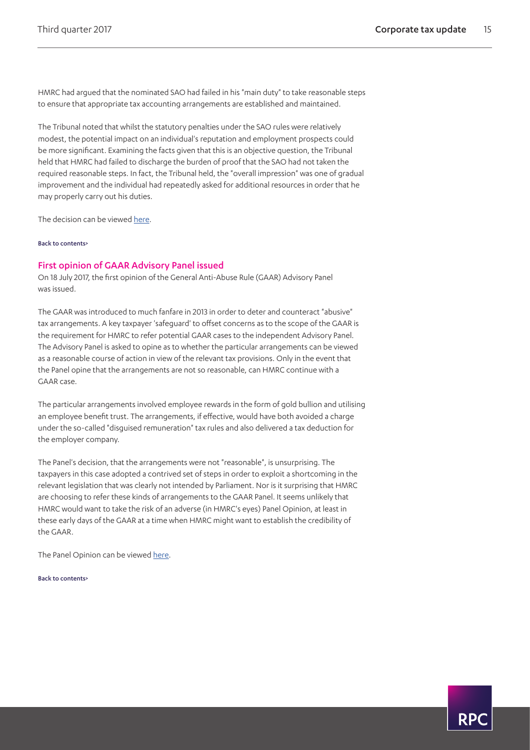HMRC had argued that the nominated SAO had failed in his "main duty" to take reasonable steps to ensure that appropriate tax accounting arrangements are established and maintained.

The Tribunal noted that whilst the statutory penalties under the SAO rules were relatively modest, the potential impact on an individual's reputation and employment prospects could be more significant. Examining the facts given that this is an objective question, the Tribunal held that HMRC had failed to discharge the burden of proof that the SAO had not taken the required reasonable steps. In fact, the Tribunal held, the "overall impression" was one of gradual improvement and the individual had repeatedly asked for additional resources in order that he may properly carry out his duties.

The decision can be viewed [here.](http://www.bailii.org/uk/cases/UKFTT/TC/2017/TC06043.html)

[Back to contents>](#page-0-0)

#### <span id="page-14-0"></span>First opinion of GAAR Advisory Panel issued

On 18 July 2017, the first opinion of the General Anti-Abuse Rule (GAAR) Advisory Panel was issued.

The GAAR was introduced to much fanfare in 2013 in order to deter and counteract "abusive" tax arrangements. A key taxpayer 'safeguard' to offset concerns as to the scope of the GAAR is the requirement for HMRC to refer potential GAAR cases to the independent Advisory Panel. The Advisory Panel is asked to opine as to whether the particular arrangements can be viewed as a reasonable course of action in view of the relevant tax provisions. Only in the event that the Panel opine that the arrangements are not so reasonable, can HMRC continue with a GAAR case.

The particular arrangements involved employee rewards in the form of gold bullion and utilising an employee benefit trust. The arrangements, if effective, would have both avoided a charge under the so-called "disguised remuneration" tax rules and also delivered a tax deduction for the employer company.

The Panel's decision, that the arrangements were not "reasonable", is unsurprising. The taxpayers in this case adopted a contrived set of steps in order to exploit a shortcoming in the relevant legislation that was clearly not intended by Parliament. Nor is it surprising that HMRC are choosing to refer these kinds of arrangements to the GAAR Panel. It seems unlikely that HMRC would want to take the risk of an adverse (in HMRC's eyes) Panel Opinion, at least in these early days of the GAAR at a time when HMRC might want to establish the credibility of the GAAR.

The Panel Opinion can be viewed [here.](https://www.gov.uk/government/publications/gaar-advisory-panel-opinion-employee-rewards-using-gold-bullion)

[Back to contents>](#page-0-0)